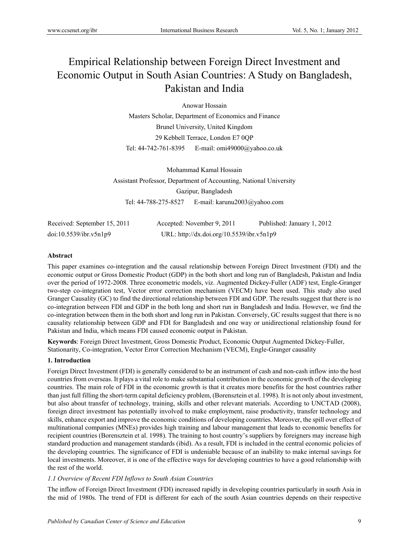# Empirical Relationship between Foreign Direct Investment and Economic Output in South Asian Countries: A Study on Bangladesh, Pakistan and India

Anowar Hossain

Masters Scholar, Department of Economics and Finance Brunel University, United Kingdom 29 Kebbell Terrace, London E7 0QP Tel: 44-742-761-8395 E-mail: omi49000@yahoo.co.uk

Mohammad Kamal Hossain Assistant Professor, Department of Accounting, National University Gazipur, Bangladesh Tel: 44-788-275-8527 E-mail: karunu2003@yahoo.com

| Received: September 15, 2011 | Accepted: November 9, 2011                | Published: January 1, 2012 |
|------------------------------|-------------------------------------------|----------------------------|
| doi:10.5539/ibr.v5n1p9       | URL: http://dx.doi.org/10.5539/ibr.v5n1p9 |                            |

## **Abstract**

This paper examines co-integration and the causal relationship between Foreign Direct Investment (FDI) and the economic output or Gross Domestic Product (GDP) in the both short and long run of Bangladesh, Pakistan and India over the period of 1972-2008. Three econometric models, viz. Augmented Dickey-Fuller (ADF) test, Engle-Granger two-step co-integration test, Vector error correction mechanism (VECM) have been used. This study also used Granger Causality (GC) to find the directional relationship between FDI and GDP. The results suggest that there is no co-integration between FDI and GDP in the both long and short run in Bangladesh and India. However, we find the co-integration between them in the both short and long run in Pakistan. Conversely, GC results suggest that there is no causality relationship between GDP and FDI for Bangladesh and one way or unidirectional relationship found for Pakistan and India, which means FDI caused economic output in Pakistan.

**Keywords**: Foreign Direct Investment, Gross Domestic Product, Economic Output Augmented Dickey-Fuller, Stationarity, Co-integration, Vector Error Correction Mechanism (VECM), Engle-Granger causality

## **1. Introduction**

Foreign Direct Investment (FDI) is generally considered to be an instrument of cash and non-cash inflow into the host countries from overseas. It plays a vital role to make substantial contribution in the economic growth of the developing countries. The main role of FDI in the economic growth is that it creates more benefits for the host countries rather than just full filling the short-term capital deficiency problem, (Borensztein et al. 1998). It is not only about investment, but also about transfer of technology, training, skills and other relevant materials. According to UNCTAD (2008), foreign direct investment has potentially involved to make employment, raise productivity, transfer technology and skills, enhance export and improve the economic conditions of developing countries. Moreover, the spill over effect of multinational companies (MNEs) provides high training and labour management that leads to economic benefits for recipient countries (Borensztein et al. 1998). The training to host country's suppliers by foreigners may increase high standard production and management standards (ibid). As a result, FDI is included in the central economic policies of the developing countries. The significance of FDI is undeniable because of an inability to make internal savings for local investments. Moreover, it is one of the effective ways for developing countries to have a good relationship with the rest of the world.

## *1.1 Overview of Recent FDI Inflows to South Asian Countries*

The inflow of Foreign Direct Investment (FDI) increased rapidly in developing countries particularly in south Asia in the mid of 1980s. The trend of FDI is different for each of the south Asian countries depends on their respective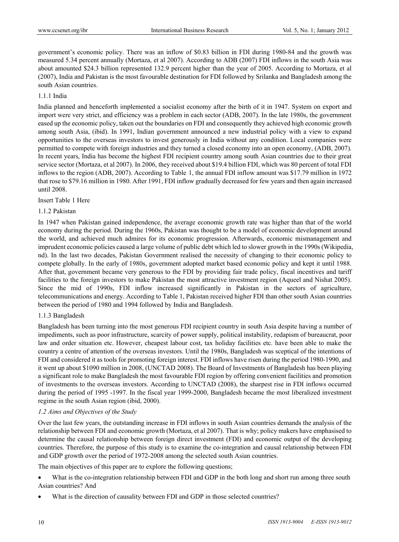government's economic policy. There was an inflow of \$0.83 billion in FDI during 1980-84 and the growth was measured 5.34 percent annually (Mortaza, et al 2007). According to ADB (2007) FDI inflows in the south Asia was about amounted \$24.3 billion represented 132.9 percent higher than the year of 2005. According to Mortaza, et al (2007), India and Pakistan is the most favourable destination for FDI followed by Srilanka and Bangladesh among the south Asian countries.

#### 1.1.1 India

India planned and henceforth implemented a socialist economy after the birth of it in 1947. System on export and import were very strict, and efficiency was a problem in each sector (ADB, 2007). In the late 1980s, the government eased up the economic policy, taken out the boundaries on FDI and consequently they achieved high economic growth among south Asia, (ibid). In 1991, Indian government announced a new industrial policy with a view to expand opportunities to the overseas investors to invest generously in India without any condition. Local companies were permitted to compete with foreign industries and they turned a closed economy into an open economy, (ADB, 2007). In recent years, India has become the highest FDI recipient country among south Asian countries due to their great service sector (Mortaza, et al 2007). In 2006, they received about \$19.4 billion FDI, which was 80 percent of total FDI inflows to the region (ADB, 2007). According to Table 1, the annual FDI inflow amount was \$17.79 million in 1972 that rose to \$79.16 million in 1980. After 1991, FDI inflow gradually decreased for few years and then again increased until 2008.

#### Insert Table 1 Here

#### 1.1.2 Pakistan

In 1947 when Pakistan gained independence, the average economic growth rate was higher than that of the world economy during the period. During the 1960s, Pakistan was thought to be a model of economic development around the world, and achieved much admires for its economic progression. Afterwards, economic mismanagement and imprudent economic policies caused a large volume of public debt which led to slower growth in the 1990s (Wikipedia, nd). In the last two decades, Pakistan Government realised the necessity of changing to their economic policy to compete globally. In the early of 1980s, government adopted market based economic policy and kept it until 1988. After that, government became very generous to the FDI by providing fair trade policy, fiscal incentives and tariff facilities to the foreign investors to make Pakistan the most attractive investment region (Aqueel and Nishat 2005). Since the mid of 1990s, FDI inflow increased significantly in Pakistan in the sectors of agriculture, telecommunications and energy. According to Table 1, Pakistan received higher FDI than other south Asian countries between the period of 1980 and 1994 followed by India and Bangladesh.

## 1.1.3 Bangladesh

Bangladesh has been turning into the most generous FDI recipient country in south Asia despite having a number of impediments, such as poor infrastructure, scarcity of power supply, political instability, redapism of bureaucrat, poor law and order situation etc. However, cheapest labour cost, tax holiday facilities etc. have been able to make the country a centre of attention of the overseas investors. Until the 1980s, Bangladesh was sceptical of the intentions of FDI and considered it as tools for promoting foreign interest. FDI inflows have risen during the period 1980-1990, and it went up about \$1090 million in 2008, (UNCTAD 2008). The Board of Investments of Bangladesh has been playing a significant role to make Bangladesh the most favourable FDI region by offering convenient facilities and promotion of investments to the overseas investors. According to UNCTAD (2008), the sharpest rise in FDI inflows occurred during the period of 1995 -1997. In the fiscal year 1999-2000, Bangladesh became the most liberalized investment regime in the south Asian region (ibid, 2000).

#### *1.2 Aims and Objectives of the Study*

Over the last few years, the outstanding increase in FDI inflows in south Asian countries demands the analysis of the relationship between FDI and economic growth (Mortaza, et al 2007). That is why; policy makers have emphasised to determine the causal relationship between foreign direct investment (FDI) and economic output of the developing countries. Therefore, the purpose of this study is to examine the co-integration and causal relationship between FDI and GDP growth over the period of 1972-2008 among the selected south Asian countries.

The main objectives of this paper are to explore the following questions;

- What is the co-integration relationship between FDI and GDP in the both long and short run among three south Asian countries? And
- What is the direction of causality between FDI and GDP in those selected countries?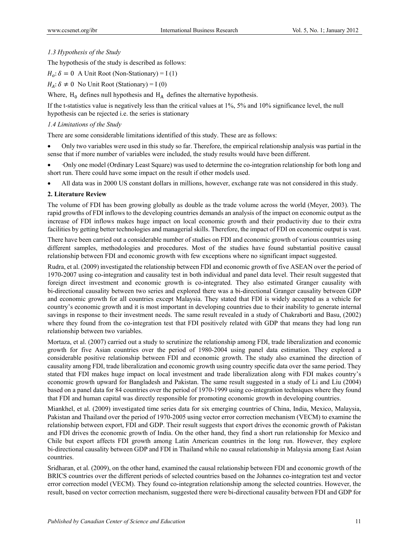# *1.3 Hypothesis of the Study*

The hypothesis of the study is described as follows:

 $H_0: \delta = 0$  A Unit Root (Non-Stationary) = I (1)

 $H_A: \delta \neq 0$  No Unit Root (Stationary) = I (0)

Where,  $H_0$  defines null hypothesis and  $H_A$  defines the alternative hypothesis.

If the t-statistics value is negatively less than the critical values at 1%, 5% and 10% significance level, the null hypothesis can be rejected i.e. the series is stationary

# *1.4 Limitations of the Study*

There are some considerable limitations identified of this study. These are as follows:

 Only two variables were used in this study so far. Therefore, the empirical relationship analysis was partial in the sense that if more number of variables were included, the study results would have been different.

 ·Only one model (Ordinary Least Square) was used to determine the co-integration relationship for both long and short run. There could have some impact on the result if other models used.

All data was in 2000 US constant dollars in millions, however, exchange rate was not considered in this study.

# **2. Literature Review**

The volume of FDI has been growing globally as double as the trade volume across the world (Meyer, 2003). The rapid growths of FDI inflows to the developing countries demands an analysis of the impact on economic output as the increase of FDI inflows makes huge impact on local economic growth and their productivity due to their extra facilities by getting better technologies and managerial skills. Therefore, the impact of FDI on economic output is vast.

There have been carried out a considerable number of studies on FDI and economic growth of various countries using different samples, methodologies and procedures. Most of the studies have found substantial positive causal relationship between FDI and economic growth with few exceptions where no significant impact suggested.

Rudra, et al. (2009) investigated the relationship between FDI and economic growth of five ASEAN over the period of 1970-2007 using co-integration and causality test in both individual and panel data level. Their result suggested that foreign direct investment and economic growth is co-integrated. They also estimated Granger causality with bi-directional causality between two series and explored there was a bi-directional Granger causality between GDP and economic growth for all countries except Malaysia. They stated that FDI is widely accepted as a vehicle for country's economic growth and it is most important in developing countries due to their inability to generate internal savings in response to their investment needs. The same result revealed in a study of Chakraborti and Basu, (2002) where they found from the co-integration test that FDI positively related with GDP that means they had long run relationship between two variables.

Mortaza, et al. (2007) carried out a study to scrutinize the relationship among FDI, trade liberalization and economic growth for five Asian countries over the period of 1980-2004 using panel data estimation. They explored a considerable positive relationship between FDI and economic growth. The study also examined the direction of causality among FDI, trade liberalization and economic growth using country specific data over the same period. They stated that FDI makes huge impact on local investment and trade liberalization along with FDI makes country's economic growth upward for Bangladesh and Pakistan. The same result suggested in a study of Li and Liu (2004) based on a panel data for 84 countries over the period of 1970-1999 using co-integration techniques where they found that FDI and human capital was directly responsible for promoting economic growth in developing countries.

Miankhel, et al. (2009) investigated time series data for six emerging countries of China, India, Mexico, Malaysia, Pakistan and Thailand over the period of 1970-2005 using vector error correction mechanism (VECM) to examine the relationship between export, FDI and GDP. Their result suggests that export drives the economic growth of Pakistan and FDI drives the economic growth of India. On the other hand, they find a short run relationship for Mexico and Chile but export affects FDI growth among Latin American countries in the long run. However, they explore bi-directional causality between GDP and FDI in Thailand while no causal relationship in Malaysia among East Asian countries.

Sridharan, et al. (2009), on the other hand, examined the causal relationship between FDI and economic growth of the BRICS countries over the different periods of selected countries based on the Johannes co-integration test and vector error correction model (VECM). They found co-integration relationship among the selected countries. However, the result, based on vector correction mechanism, suggested there were bi-directional causality between FDI and GDP for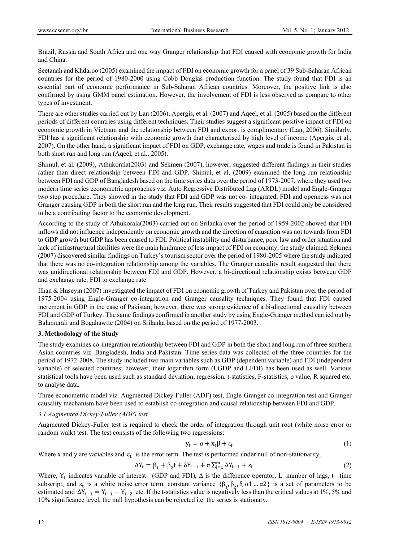Brazil, Russia and South Africa and one way Granger relationship that FDI caused with economic growth for India and China.

Seetanah and Khdaroo (2005) examined the impact of FDI on economic growth for a panel of 39 Sub-Saharan African countries for the period of 1980-2000 using Cobb Douglas production function. The study found that FDI is an essential part of economic performance in Sub-Saharan African countries. Moreover, the positive link is also confirmed by using GMM panel estimation. However, the involvement of FDI is less observed as compare to other types of investment.

There are other studies carried out by Lan (2006), Apergis, et al. (2007) and Aqeel, et al. (2005) based on the different periods of different countries using different techniques. Their studies suggest a significant positive impact of FDI on economic growth in Vietnam and the relationship between FDI and export is complimentary (Lan, 2006). Similarly, FDI has a significant relationship with economic growth that characterised by high level of income (Apergis, et al., 2007). On the other hand, a significant impact of FDI on GDP, exchange rate, wages and trade is found in Pakistan in both short run and long run (Aqeel, et al., 2005).

Shimul, et al. (2009), Athukorala(2003) and Sekmen (2007), however, suggested different findings in their studies rather than direct relationship between FDI and GDP. Shimul, et al. (2009) examined the long run relationship between FDI and GDP of Bangladesh based on the time series data over the period of 1973-2007, where they used two modern time series econometric approaches viz. Auto Regressive Distributed Lag (ARDL) model and Engle-Granger two step procedure. They showed in the study that FDI and GDP was not co- integrated, FDI and openness was not Granger causing GDP in both the short run and the long run. Their results suggested that FDI could only be considered to be a contributing factor to the economic development.

According to the study of Athukorala(2003) carried out on Srilanka over the period of 1959-2002 showed that FDI inflows did not influence independently on economic growth and the direction of causation was not towards from FDI to GDP growth but GDP has been caused to FDI. Political instability and disturbance, poor law and order situation and lack of infrastructural facilities were the main hindrance of less impact of FDI on economy, the study claimed. Sekmen (2007) discovered similar findings on Turkey's tourism sector over the period of 1980-2005 where the study indicated that there was no co-integration relationship among the variables. The Granger causality result suggested that there was unidirectional relationship between FDI and GDP. However, a bi-directional relationship exists between GDP and exchange rate, FDI to exchange rate.

Ilhan & Huseyin (2007) investigated the impact of FDI on economic growth of Turkey and Pakistan over the period of 1975-2004 using Engle-Granger co-integration and Granger causality techniques. They found that FDI caused increment in GDP in the case of Pakistan; however, there was strong evidence of a bi-directional causality between FDI and GDP of Turkey. The same findings confirmed in another study by using Engle-Granger method carried out by Balamurali and Bogahawtte (2004) on Srilanka based on the period of 1977-2003.

## **3. Methodology of the Study**

The study examines co-integration relationship between FDI and GDP in both the short and long run of three southern Asian countries viz. Bangladesh, India and Pakistan. Time series data was collected of the three countries for the period of 1972-2008. The study included two main variables such as GDP (dependent variable) and FDI (independent variable) of selected countries; however, their logarithm form (LGDP and LFDI) has been used as well. Various statistical tools have been used such as standard deviation, regression, t-statistics, F-statistics, p value, R squared etc. to analyse data.

Three econometric model viz. Augmented Dickey-Fuller (ADF) test, Engle-Granger co-integration test and Granger causality mechanism have been used to establish co-integration and causal relationship between FDI and GDP.

## *3.1 Augmented Dickey-Fuller (ADF) test*

Augmented Dickey-Fuller test is required to check the order of integration through unit root (white noise error or random walk) test. The test consists of the following two regressions:

$$
y_t = \alpha + x_t \beta + \varepsilon_t \tag{1}
$$

Where x and y are variables and  $\varepsilon_t$  is the error term. The test is performed under null of non-stationarity.

$$
\Delta Y_t = \beta_1 + \beta_2 t + \delta Y_{t-1} + \alpha \sum_{i=1}^m \Delta Y_{t-1} + \varepsilon_t
$$
\n(2)

Where, Y<sub>t</sub> indicates variable of interest= (GDP and FDI),  $\Delta$  is the difference operator, L=number of lags, t= time subscript, and  $\varepsilon_t$  is a white noise error term, constant variance  $\{\beta_1, \beta_2, \delta, \alpha_1, \alpha_2\}$  is a set of parameters to be estimated and  $\Delta Y_{t-1} = Y_{t-1} - Y_{t-2}$  etc. If the t-statistics value is negatively less than the critical values at 1%, 5% and 10% significance level, the null hypothesis can be rejected i.e. the series is stationary.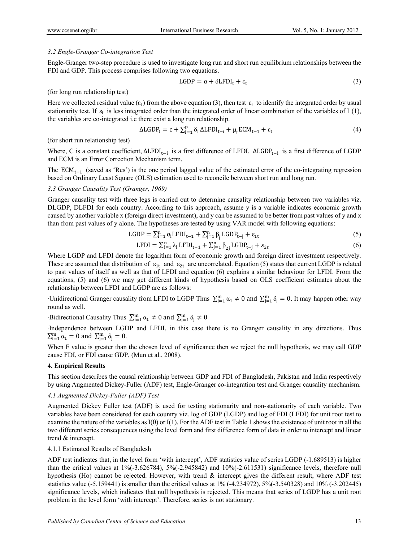## *3.2 Engle-Granger Co-integration Test*

Engle-Granger two-step procedure is used to investigate long run and short run equilibrium relationships between the FDI and GDP. This process comprises following two equations.

$$
LGDP = \alpha + \delta LFDI_t + \varepsilon_t \tag{3}
$$

#### (for long run relationship test)

Here we collected residual value  $(\epsilon_t)$  from the above equation (3), then test  $\epsilon_t$  to identify the integrated order by usual stationarity test. If  $\varepsilon_t$  is less integrated order than the integrated order of linear combination of the variables of I (1), the variables are co-integrated i.e there exist a long run relationship.

$$
\Delta LGDP_{t} = c + \sum_{i=1}^{p} \delta_{i} \Delta LFDI_{t-i} + \mu_{t} ECM_{t-1} + \varepsilon_{t}
$$
\n
$$
\tag{4}
$$

#### (for short run relationship test)

Where, C is a constant coefficient,  $\Delta LFDI_{t-i}$  is a first difference of LFDI,  $\Delta LGDP_{t-i}$  is a first difference of LGDP and ECM is an Error Correction Mechanism term.

The  $ECM_{t-1}$  (saved as 'Res') is the one period lagged value of the estimated error of the co-integrating regression based on Ordinary Least Square (OLS) estimation used to reconcile between short run and long run.

## *3.3 Granger Causality Test (Granger, 1969)*

Granger causality test with three legs is carried out to determine causality relationship between two variables viz. DLGDP, DLFDI for each country. According to this approach, assume y is a variable indicates economic growth caused by another variable x (foreign direct investment), and y can be assumed to be better from past values of y and x than from past values of y alone. The hypotheses are tested by using VAR model with following equations:

$$
LGDP = \sum_{i=1}^{n} \alpha_i LFDI_{t-1} + \sum_{j=1}^{n} \beta_j LGDP_{t-j} + \varepsilon_{1t}
$$
 (5)

$$
LFDI = \sum_{i=1}^{n} \lambda_i LFDI_{t-1} + \sum_{j=1}^{n} \beta_{2j} LGDP_{t-j} + \varepsilon_{2t}
$$
\n
$$
(6)
$$

Where LGDP and LFDI denote the logarithm form of economic growth and foreign direct investment respectively. These are assumed that distribution of  $\varepsilon_{1t}$  and  $\varepsilon_{2t}$  are uncorrelated. Equation (5) states that current LGDP is related to past values of itself as well as that of LFDI and equation (6) explains a similar behaviour for LFDI. From the equations, (5) and (6) we may get different kinds of hypothesis based on OLS coefficient estimates about the relationship between LFDI and LGDP are as follows:

·Unidirectional Granger causality from LFDI to LGDP Thus  $\sum_{i=1}^{m} \alpha_i \neq 0$  and  $\sum_{j=1}^{m} \delta_j = 0$ . It may happen other way round as well.

·Bidirectional Causality Thus  $\sum_{i=1}^{m} \alpha_i \neq 0$  and  $\sum_{j=1}^{m} \delta_j \neq 0$ 

·Independence between LGDP and LFDI, in this case there is no Granger causality in any directions. Thus  $\sum_{i=1}^{m} \alpha_i = 0$  and  $\sum_{j=1}^{m} \delta_j = 0$ .

When F value is greater than the chosen level of significance then we reject the null hypothesis, we may call GDP cause FDI, or FDI cause GDP, (Mun et al., 2008).

## **4. Empirical Results**

This section describes the causal relationship between GDP and FDI of Bangladesh, Pakistan and India respectively by using Augmented Dickey-Fuller (ADF) test, Engle-Granger co-integration test and Granger causality mechanism.

## *4.1 Augmented Dickey-Fuller (ADF) Test*

Augmented Dickey Fuller test (ADF) is used for testing stationarity and non-stationarity of each variable. Two variables have been considered for each country viz. log of GDP (LGDP) and log of FDI (LFDI) for unit root test to examine the nature of the variables as I(0) or I(1). For the ADF test in Table 1 shows the existence of unit root in all the two different series consequences using the level form and first difference form of data in order to intercept and linear trend & intercept.

## 4.1.1 Estimated Results of Bangladesh

ADF test indicates that, in the level form 'with intercept', ADF statistics value of series LGDP (-1.689513) is higher than the critical values at  $1\frac{6}{-3.626784}$ ,  $5\frac{6}{-2.945842}$  and  $10\frac{6}{-2.611531}$  significance levels, therefore null hypothesis (Ho) cannot be rejected. However, with trend & intercept gives the different result, where ADF test statistics value (-5.159441) is smaller than the critical values at 1% (-4.234972), 5%(-3.540328) and 10% (-3.202445) significance levels, which indicates that null hypothesis is rejected. This means that series of LGDP has a unit root problem in the level form 'with intercept'. Therefore, series is not stationary.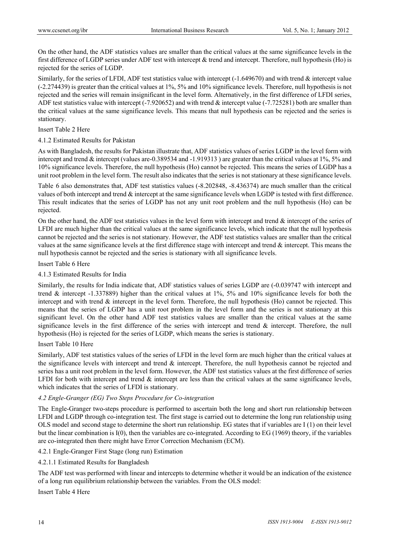On the other hand, the ADF statistics values are smaller than the critical values at the same significance levels in the first difference of LGDP series under ADF test with intercept & trend and intercept. Therefore, null hypothesis (Ho) is rejected for the series of LGDP.

Similarly, for the series of LFDI, ADF test statistics value with intercept  $(-1.649670)$  and with trend  $\&$  intercept value (-2.274439) is greater than the critical values at 1%, 5% and 10% significance levels. Therefore, null hypothesis is not rejected and the series will remain insignificant in the level form. Alternatively, in the first difference of LFDI series, ADF test statistics value with intercept (-7.920652) and with trend & intercept value (-7.725281) both are smaller than the critical values at the same significance levels. This means that null hypothesis can be rejected and the series is stationary.

#### Insert Table 2 Here

## 4.1.2 Estimated Results for Pakistan

As with Bangladesh, the results for Pakistan illustrate that, ADF statistics values of series LGDP in the level form with intercept and trend & intercept (values are-0.389534 and -1.919313 ) are greater than the critical values at 1%, 5% and 10% significance levels. Therefore, the null hypothesis (Ho) cannot be rejected. This means the series of LGDP has a unit root problem in the level form. The result also indicates that the series is not stationary at these significance levels.

Table 6 also demonstrates that, ADF test statistics values (-8.202848, -8.436374) are much smaller than the critical values of both intercept and trend & intercept at the same significance levels when LGDP is tested with first difference. This result indicates that the series of LGDP has not any unit root problem and the null hypothesis (Ho) can be rejected.

On the other hand, the ADF test statistics values in the level form with intercept and trend & intercept of the series of LFDI are much higher than the critical values at the same significance levels, which indicate that the null hypothesis cannot be rejected and the series is not stationary. However, the ADF test statistics values are smaller than the critical values at the same significance levels at the first difference stage with intercept and trend  $\&$  intercept. This means the null hypothesis cannot be rejected and the series is stationary with all significance levels.

#### Insert Table 6 Here

## 4.1.3 Estimated Results for India

Similarly, the results for India indicate that, ADF statistics values of series LGDP are (-0.039747 with intercept and trend & intercept -1.337889) higher than the critical values at 1%, 5% and 10% significance levels for both the intercept and with trend & intercept in the level form. Therefore, the null hypothesis (Ho) cannot be rejected. This means that the series of LGDP has a unit root problem in the level form and the series is not stationary at this significant level. On the other hand ADF test statistics values are smaller than the critical values at the same significance levels in the first difference of the series with intercept and trend & intercept. Therefore, the null hypothesis (Ho) is rejected for the series of LGDP, which means the series is stationary.

#### Insert Table 10 Here

Similarly, ADF test statistics values of the series of LFDI in the level form are much higher than the critical values at the significance levels with intercept and trend & intercept. Therefore, the null hypothesis cannot be rejected and series has a unit root problem in the level form. However, the ADF test statistics values at the first difference of series LFDI for both with intercept and trend  $\&$  intercept are less than the critical values at the same significance levels, which indicates that the series of LFDI is stationary.

#### *4.2 Engle-Granger (EG) Two Steps Procedure for Co-integration*

The Engle-Granger two-steps procedure is performed to ascertain both the long and short run relationship between LFDI and LGDP through co-integration test. The first stage is carried out to determine the long run relationship using OLS model and second stage to determine the short run relationship. EG states that if variables are I (1) on their level but the linear combination is I(0), then the variables are co-integrated. According to EG (1969) theory, if the variables are co-integrated then there might have Error Correction Mechanism (ECM).

## 4.2.1 Engle-Granger First Stage (long run) Estimation

4.2.1.1 Estimated Results for Bangladesh

The ADF test was performed with linear and intercepts to determine whether it would be an indication of the existence of a long run equilibrium relationship between the variables. From the OLS model:

#### Insert Table 4 Here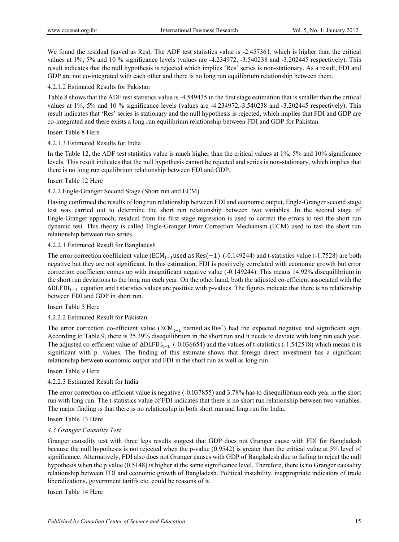We found the residual (saved as Res). The ADF test statistics value is -2.457361, which is higher than the critical values at 1%, 5% and 10 % significance levels (values are -4.234972, -3.540238 and -3.202445 respectively). This result indicates that the null hypothesis is rejected which implies 'Res' series is non-stationary. As a result, FDI and GDP are not co-integrated with each other and there is no long run equilibrium relationship between them.

## 4.2.1.2 Estimated Results for Pakistan

Table 8 shows that the ADF test statistics value is -4.549435 in the first stage estimation that is smaller than the critical values at 1%, 5% and 10 % significance levels (values are -4.234972,-3.540238 and -3.202445 respectively). This result indicates that 'Res' series is stationary and the null hypothesis is rejected, which implies that FDI and GDP are co-integrated and there exists a long run equilibrium relationship between FDI and GDP for Pakistan.

## Insert Table 8 Here

## 4.2.1.3 Estimated Results for India

In the Table 12, the ADF test statistics value is much higher than the critical values at 1%, 5% and 10% significance levels. This result indicates that the null hypothesis cannot be rejected and series is non-stationary, which implies that there is no long run equilibrium relationship between FDI and GDP.

## Insert Table 12 Here

## 4.2.2 Engle-Granger Second Stage (Short run and ECM)

Having confirmed the results of long run relationship between FDI and economic output, Engle-Granger second stage test was carried out to determine the short run relationship between two variables. In the second stage of Engle-Granger approach, residual from the first stage regression is used to correct the errors to test the short run dynamic test. This theory is called Engle-Granger Error Correction Mechanism (ECM) used to test the short run relationship between two series.

## 4.2.2.1 Estimated Result for Bangladesh

The error correction coefficient value (ECM<sub>t-1</sub>used as Res(-1) (-0.149244) and t-statistics value (-1.7528) are both negative but they are not significant. In this estimation, FDI is positively correlated with economic growth but error correction coefficient comes up with insignificant negative value (-0.149244). This means 14.92% disequilibrium in the short run deviations to the long run each year. On the other hand, both the adjusted co-efficient associated with the  $\Delta$ DLFDI<sub>t-1</sub> equation and t statistics values are positive with p-values. The figures indicate that there is no relationship between FDI and GDP in short run.

Insert Table 5 Here

## 4.2.2.2 Estimated Result for Pakistan

The error correction co-efficient value ( $ECM_{t-1}$  named as Res') had the expected negative and significant sign. According to Table 9, there is 25.39% disequilibrium in the short run and it needs to deviate with long run each year. The adjusted co-efficient value of  $\Delta$ DLFDI<sub> $i=1$ </sub> (-0.036654) and the values of t-statistics (-1.542518) which means it is significant with p -values. The finding of this estimate shows that foreign direct investment has a significant relationship between economic output and FDI in the short run as well as long run.

## Insert Table 9 Here

## 4.2.2.3 Estimated Result for India

The error correction co-efficient value is negative (-0.037855) and 3.78% has to disequilibrium each year in the short run with long run. The t-statistics value of FDI indicates that there is no short run relationship between two variables. The major finding is that there is no relationship in both short run and long run for India.

## Insert Table 13 Here

# *4.3 Granger Causality Test*

Granger causality test with three legs results suggest that GDP does not Granger cause with FDI for Bangladesh because the null hypothesis is not rejected when the p-value (0.9542) is greater than the critical value at 5% level of significance. Alternatively, FDI also does not Granger causes with GDP of Bangladesh due to failing to reject the null hypothesis when the p value (0.5148) is higher at the same significance level. Therefore, there is no Granger causality relationship between FDI and economic growth of Bangladesh. Political instability, inappropriate indicators of trade liberalizations, government tariffs etc. could be reasons of it.

Insert Table 14 Here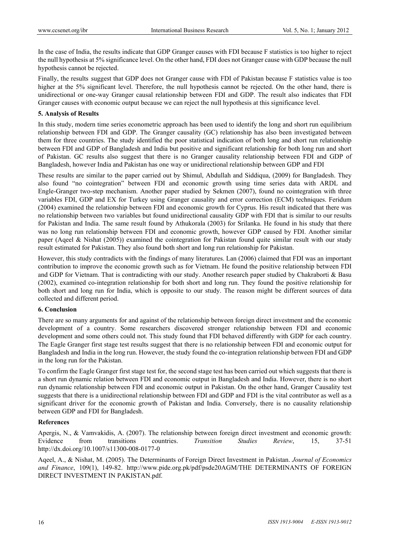In the case of India, the results indicate that GDP Granger causes with FDI because F statistics is too higher to reject the null hypothesis at 5% significance level. On the other hand, FDI does not Granger cause with GDP because the null hypothesis cannot be rejected.

Finally, the results suggest that GDP does not Granger cause with FDI of Pakistan because F statistics value is too higher at the 5% significant level. Therefore, the null hypothesis cannot be rejected. On the other hand, there is unidirectional or one-way Granger causal relationship between FDI and GDP. The result also indicates that FDI Granger causes with economic output because we can reject the null hypothesis at this significance level.

## **5. Analysis of Results**

In this study, modern time series econometric approach has been used to identify the long and short run equilibrium relationship between FDI and GDP. The Granger causality (GC) relationship has also been investigated between them for three countries. The study identified the poor statistical indication of both long and short run relationship between FDI and GDP of Bangladesh and India but positive and significant relationship for both long run and short of Pakistan. GC results also suggest that there is no Granger causality relationship between FDI and GDP of Bangladesh, however India and Pakistan has one way or unidirectional relationship between GDP and FDI

These results are similar to the paper carried out by Shimul, Abdullah and Siddiqua, (2009) for Bangladesh. They also found "no cointegration" between FDI and economic growth using time series data with ARDL and Engle-Granger two-step mechanism. Another paper studied by Sekmen (2007), found no cointegration with three variables FDI, GDP and EX for Turkey using Granger causality and error correction (ECM) techniques. Feridum (2004) examined the relationship between FDI and economic growth for Cyprus. His result indicated that there was no relationship between two variables but found unidirectional causality GDP with FDI that is similar to our results for Pakistan and India. The same result found by Athukorala (2003) for Srilanka. He found in his study that there was no long run relationship between FDI and economic growth, however GDP caused by FDI. Another similar paper (Aqeel & Nishat (2005)) examined the cointegration for Pakistan found quite similar result with our study result estimated for Pakistan. They also found both short and long run relationship for Pakistan.

However, this study contradicts with the findings of many literatures. Lan (2006) claimed that FDI was an important contribution to improve the economic growth such as for Vietnam. He found the positive relationship between FDI and GDP for Vietnam. That is contradicting with our study. Another research paper studied by Chakraborti & Basu (2002), examined co-integration relationship for both short and long run. They found the positive relationship for both short and long run for India, which is opposite to our study. The reason might be different sources of data collected and different period.

## **6. Conclusion**

There are so many arguments for and against of the relationship between foreign direct investment and the economic development of a country. Some researchers discovered stronger relationship between FDI and economic development and some others could not. This study found that FDI behaved differently with GDP for each country. The Eagle Granger first stage test results suggest that there is no relationship between FDI and economic output for Bangladesh and India in the long run. However, the study found the co-integration relationship between FDI and GDP in the long run for the Pakistan.

To confirm the Eagle Granger first stage test for, the second stage test has been carried out which suggests that there is a short run dynamic relation between FDI and economic output in Bangladesh and India. However, there is no short run dynamic relationship between FDI and economic output in Pakistan. On the other hand, Granger Causality test suggests that there is a unidirectional relationship between FDI and GDP and FDI is the vital contributor as well as a significant driver for the economic growth of Pakistan and India. Conversely, there is no causality relationship between GDP and FDI for Bangladesh.

## **References**

Apergis, N., & Vamvakidis, A. (2007). The relationship between foreign direct investment and economic growth: Evidence from transitions countries. *Transition Studies Review*, 15, 37-51 http://dx.doi.org/10.1007/s11300-008-0177-0

Aqeel, A., & Nishat, M. (2005). The Determinants of Foreign Direct Investment in Pakistan. *Journal of Economics and Finance*, 109(1), 149-82. http://www.pide.org.pk/pdf/psde20AGM/THE DETERMINANTS OF FOREIGN DIRECT INVESTMENT IN PAKISTAN.pdf.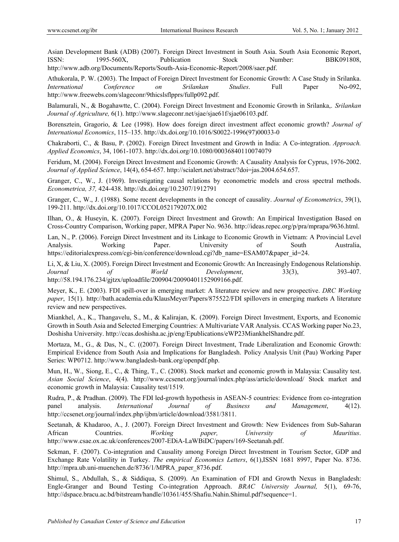Asian Development Bank (ADB) (2007). Foreign Direct Investment in South Asia. South Asia Economic Report, ISSN: 1995-560X, Publication Stock Number: BBK091808, http://www.adb.org/Documents/Reports/South-Asia-Economic-Report/2008/saer.pdf.

Athukorala, P. W. (2003). The Impact of Foreign Direct Investment for Economic Growth: A Case Study in Srilanka.

*International Conference on Srilankan Studies*. Full Paper No-092, http://www.freewebs.com/slageconr/9thicslsflpprs/fullp092.pdf.

Balamurali, N., & Bogahawtte, C. (2004). Foreign Direct Investment and Economic Growth in Srilanka,. *Srilankan Journal of Agriculture,* 6(1). http://www.slageconr.net/sjae/sjae61f/sjae06103.pdf.

Borensztein, Gragorio, & Lee (1998). How does foreign direct investment affect economic growth? *Journal of International Economics*, 115–135. http://dx.doi.org/10.1016/S0022-1996(97)00033-0

Chakraborti, C., & Basu, P. (2002). Foreign Direct Investment and Growth in India: A Co-integration. *Approach. Applied Economics*, 34, 1061-1073. http://dx.doi.org/10.1080/00036840110074079

Feridum, M. (2004). Foreign Direct Investment and Economic Growth: A Causality Analysis for Cyprus, 1976-2002. *Journal of Applied Science*, 14(4), 654-657. http://scialert.net/abstract/?doi=jas.2004.654.657.

Granger, C., W., J. (1969). Investigating causal relations by econometric models and cross spectral methods. *Econometrica, 37,* 424-438. http://dx.doi.org/10.2307/1912791

Granger, C., W., J. (1988). Some recent developments in the concept of causality. *Journal of Econometrics*, 39(1), 199-211. http://dx.doi.org/10.1017/CCOL052179207X.002

Ilhan, O., & Huseyin, K. (2007). Foreign Direct Investment and Growth: An Empirical Investigation Based on Cross-Country Comparison, Working paper, MPRA Paper No. 9636. http://ideas.repec.org/p/pra/mprapa/9636.html.

Lan, N., P. (2006). Foreign Direct Investment and its Linkage to Economic Growth in Vietnam: A Provincial Level Analysis. Working Paper. University of South Australia, https://editorialexpress.com/cgi-bin/conference/download.cgi?db\_name=ESAM07&paper\_id=24.

Li, X, & Liu, X. (2005). Foreign Direct Investment and Economic Growth: An Increasingly Endogenous Relationship. *Journal of World Development*, 33(3), 393-407. http://58.194.176.234/gjtzx/uploadfile/200904/20090401152909166.pdf.

Meyer, K., E. (2003). FDI spill-over in emerging market: A literature review and new prospective. *DRC Working paper*, 15(1). http://bath.academia.edu/KlausMeyer/Papers/875522/FDI spillovers in emerging markets A literature review and new perspectives.

Miankhel, A., K., Thangavelu, S., M., & Kalirajan, K. (2009). Foreign Direct Investment, Exports, and Economic Growth in South Asia and Selected Emerging Countries: A Multivariate VAR Analysis. CCAS Working paper No.23, Doshisha University. http://ccas.doshisha.ac.jp/eng/Epublications/eWP23MiankhelShandre.pdf.

Mortaza, M., G., & Das, N., C. ((2007). Foreign Direct Investment, Trade Liberalization and Economic Growth: Empirical Evidence from South Asia and Implications for Bangladesh. Policy Analysis Unit (Pau) Working Paper Series: WP0712. http://www.bangladesh-bank.org/openpdf.php.

Mun, H., W., Siong, E., C., & Thing, T., C. (2008). Stock market and economic growth in Malaysia: Causality test. *Asian Social Science*, 4(4). http://www.ccsenet.org/journal/index.php/ass/article/download/ Stock market and economic growth in Malaysia: Causality test/1519.

Rudra, P., & Pradhan. (2009). The FDI led-growth hypothesis in ASEAN-5 countries: Evidence from co-integration panel analysis. *International Journal of Business and Management*, 4(12). http://ccsenet.org/journal/index.php/ijbm/article/download/3581/3811.

Seetanah, & Khadaroo, A., J. (2007). Foreign Direct Investment and Growth: New Evidences from Sub-Saharan African Countries. *Working paper, University of Mauritius*. http://www.csae.ox.ac.uk/conferences/2007-EDiA-LaWBiDC/papers/169-Seetanah.pdf.

Sekman, F. (2007). Co-integration and Causality among Foreign Direct Investment in Tourism Sector, GDP and Exchange Rate Volatility in Turkey. *The empirical Economics Letters*, 6(1),ISSN 1681 8997, Paper No. 8736. http://mpra.ub.uni-muenchen.de/8736/1/MPRA\_paper\_8736.pdf.

Shimul, S., Abdullah, S., & Siddiqua, S. (2009). An Examination of FDI and Growth Nexus in Bangladesh: Engle-Granger and Bound Testing Co-integration Approach. *BRAC University Journal,* 5(1), 69-76, http://dspace.bracu.ac.bd/bitstream/handle/10361/455/Shafiu.Nahin.Shimul.pdf?sequence=1.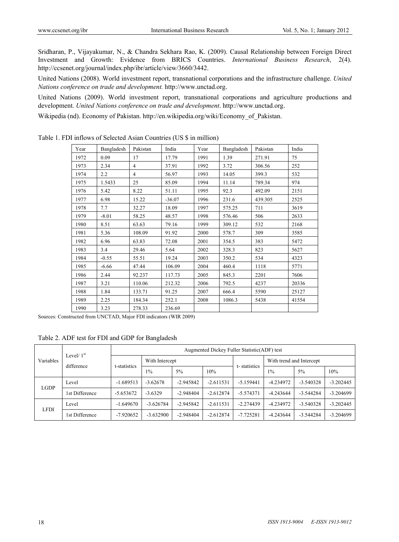Sridharan, P., Vijayakumar, N., & Chandra Sekhara Rao, K. (2009). Causal Relationship between Foreign Direct Investment and Growth: Evidence from BRICS Countries. *International Business Research*, 2(4). http://ccsenet.org/journal/index.php/ibr/article/view/3660/3442.

United Nations (2008). World investment report, transnational corporations and the infrastructure challenge. *United Nations conference on trade and development.* http://www.unctad.org.

United Nations (2009). World investment report, transnational corporations and agriculture productions and development. *United Nations conference on trade and development*. http://www.unctad.org.

Wikipedia (nd). Economy of Pakistan. http://en.wikipedia.org/wiki/Economy\_of\_Pakistan.

| Year | Bangladesh | Pakistan | India    | Year | Bangladesh | Pakistan | India |
|------|------------|----------|----------|------|------------|----------|-------|
| 1972 | 0.09       | 17       | 17.79    | 1991 | 1.39       | 271.91   | 75    |
| 1973 | 2.34       | 4        | 37.91    | 1992 | 3.72       | 306.56   | 252   |
| 1974 | 2.2        | 4        | 56.97    | 1993 | 14.05      | 399.3    | 532   |
| 1975 | 1.5433     | 25       | 85.09    | 1994 | 11.14      | 789.34   | 974   |
| 1976 | 5.42       | 8.22     | 51.11    | 1995 | 92.3       | 492.09   | 2151  |
| 1977 | 6.98       | 15.22    | $-36.07$ | 1996 | 231.6      | 439.305  | 2525  |
| 1978 | 7.7        | 32.27    | 18.09    | 1997 | 575.25     | 711      | 3619  |
| 1979 | $-8.01$    | 58.25    | 48.57    | 1998 | 576.46     | 506      | 2633  |
| 1980 | 8.51       | 63.63    | 79.16    | 1999 | 309.12     | 532      | 2168  |
| 1981 | 5.36       | 108.09   | 91.92    | 2000 | 578.7      | 309      | 3585  |
| 1982 | 6.96       | 63.83    | 72.08    | 2001 | 354.5      | 383      | 5472  |
| 1983 | 3.4        | 29.46    | 5.64     | 2002 | 328.3      | 823      | 5627  |
| 1984 | $-0.55$    | 55.51    | 19.24    | 2003 | 350.2      | 534      | 4323  |
| 1985 | $-6.66$    | 47.44    | 106.09   | 2004 | 460.4      | 1118     | 5771  |
| 1986 | 2.44       | 92.237   | 117.73   | 2005 | 845.3      | 2201     | 7606  |
| 1987 | 3.21       | 110.06   | 212.32   | 2006 | 792.5      | 4237     | 20336 |
| 1988 | 1.84       | 133.71   | 91.25    | 2007 | 666.4      | 5590     | 25127 |
| 1989 | 2.25       | 184.34   | 252.1    | 2008 | 1086.3     | 5438     | 41554 |
| 1990 | 3.23       | 278.33   | 236.69   |      |            |          |       |

Table 1. FDI inflows of Selected Asian Countries (US \$ in million)

Sources: Constructed from UNCTAD, Major FDI indicators (WIR 2009)

Table 2. ADF test for FDI and GDP for Bangladesh

| Level/ $1st$ |                | Augmented Dickey Fuller Statistic(ADF) test |                |             |             |              |                          |             |             |  |
|--------------|----------------|---------------------------------------------|----------------|-------------|-------------|--------------|--------------------------|-------------|-------------|--|
| Variables    |                |                                             | With Intercept |             |             | t-statistics | With trend and Intercept |             |             |  |
|              | difference     | t-statistics                                | $1\%$          | 5%          | 10%         |              | $1\%$                    | $5\%$       | 10%         |  |
| <b>LGDP</b>  | Level          | $-1.689513$                                 | $-3.62678$     | $-2.945842$ | $-2.611531$ | $-5.159441$  | $-4.234972$              | $-3.540328$ | $-3.202445$ |  |
|              | 1st Difference | $-5.653672$                                 | $-3.6329$      | $-2.948404$ | $-2.612874$ | $-5.574371$  | $-4.243644$              | $-3.544284$ | $-3.204699$ |  |
| <b>LFDI</b>  | Level          | $-1.649670$                                 | $-3.626784$    | $-2.945842$ | $-2.611531$ | $-2.274439$  | $-4.234972$              | $-3.540328$ | $-3.202445$ |  |
|              | 1st Difference | $-7.920652$                                 | $-3.632900$    | $-2.948404$ | $-2.612874$ | $-7.725281$  | $-4.243644$              | $-3.544284$ | $-3.204699$ |  |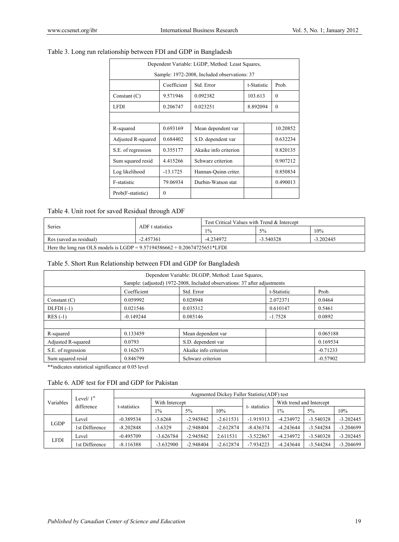## Table 3. Long run relationship between FDI and GDP in Bangladesh

| Dependent Variable: LGDP, Method: Least Squares, |             |                                              |          |          |  |  |  |  |
|--------------------------------------------------|-------------|----------------------------------------------|----------|----------|--|--|--|--|
|                                                  |             | Sample: 1972-2008, Included observations: 37 |          |          |  |  |  |  |
|                                                  | Coefficient | Std. Error<br>t-Statistic<br>Prob.           |          |          |  |  |  |  |
| Constant $(C)$                                   | 9.571946    | 0.092382                                     | 103.613  | $\theta$ |  |  |  |  |
| LFDI                                             | 0.206747    | 0.023251                                     | 8.892094 | $\Omega$ |  |  |  |  |
|                                                  |             |                                              |          |          |  |  |  |  |
| R-squared                                        | 0.693169    | Mean dependent var                           |          | 10.20852 |  |  |  |  |
| Adjusted R-squared                               | 0.684402    | S.D. dependent var                           |          | 0.632234 |  |  |  |  |
| S.E. of regression                               | 0.355177    | Akaike info criterion                        |          | 0.820135 |  |  |  |  |
| Sum squared resid                                | 4.415266    | Schwarz criterion                            |          | 0.907212 |  |  |  |  |
| Log likelihood                                   | $-13.1725$  | Hannan-Quinn criter.                         |          | 0.850834 |  |  |  |  |
| F-statistic                                      | 79.06934    | Durbin-Watson stat                           |          | 0.490013 |  |  |  |  |
| Prob(F-statistic)                                | $\theta$    |                                              |          |          |  |  |  |  |

# Table 4. Unit root for saved Residual through ADF

| Series                                                                      |                  | Test Critical Values with Trend & Intercept |             |             |  |
|-----------------------------------------------------------------------------|------------------|---------------------------------------------|-------------|-------------|--|
|                                                                             | ADF t statistics | $1\%$                                       | 5%          | 10%         |  |
| Res (saved as residual)                                                     | $-2.457361$      | -4.234972                                   | $-3.540328$ | $-3.202445$ |  |
| Here the long run OLS models is LGDP = $9.57194586662 + 0.20674725651*LFDI$ |                  |                                             |             |             |  |

## Table 5. Short Run Relationship between FDI and GDP for Bangladesh

|                                                                       | Dependent Variable: DLGDP, Method: Least Squares, |                                                                           |             |            |  |  |  |
|-----------------------------------------------------------------------|---------------------------------------------------|---------------------------------------------------------------------------|-------------|------------|--|--|--|
|                                                                       |                                                   | Sample: (adjusted) 1972-2008, Included observations: 37 after adjustments |             |            |  |  |  |
|                                                                       | Coefficient                                       | Std. Error                                                                | t-Statistic | Prob.      |  |  |  |
| Constant $(C)$                                                        | 0.059992                                          | 0.028948                                                                  | 2.072371    | 0.0464     |  |  |  |
| $DLFDI(-1)$                                                           | 0.021546                                          | 0.035312                                                                  | 0.610147    | 0.5461     |  |  |  |
| $RES(-1)$                                                             | $-0.149244$                                       | 0.085146                                                                  | $-1.7528$   | 0.0892     |  |  |  |
|                                                                       |                                                   |                                                                           |             |            |  |  |  |
| R-squared                                                             | 0.133459                                          | Mean dependent var                                                        |             | 0.065188   |  |  |  |
| Adjusted R-squared                                                    | 0.0793                                            | S.D. dependent var                                                        |             | 0.169534   |  |  |  |
| Akaike info criterion<br>S.E. of regression<br>$-0.71233$<br>0.162673 |                                                   |                                                                           |             |            |  |  |  |
| Sum squared resid                                                     | 0.846799                                          | Schwarz criterion                                                         |             | $-0.57902$ |  |  |  |

\*\*indicates statistical significance at 0.05 level

## Table 6. ADF test for FDI and GDP for Pakistan

|             |                |              | Augmented Dickey Fuller Statistic(ADF) test |             |             |              |                          |             |             |  |  |
|-------------|----------------|--------------|---------------------------------------------|-------------|-------------|--------------|--------------------------|-------------|-------------|--|--|
| Variables   | Level/ $1st$   |              | With Intercept                              |             |             |              | With trend and Intercept |             |             |  |  |
|             | difference     | t-statistics | $1\%$                                       | $5\%$       | 10%         | t-statistics | $1\%$                    | $5\%$       | 10%         |  |  |
|             | Level          | $-0.389534$  | $-3.6268$                                   | $-2.945842$ | $-2.611531$ | $-1.919313$  | -4.234972                | $-3.540328$ | $-3.202445$ |  |  |
| <b>LGDP</b> | 1st Difference | $-8.202848$  | $-3.6329$                                   | $-2.948404$ | $-2.612874$ | $-8.436374$  | $-4.243644$              | $-3.544284$ | $-3.204699$ |  |  |
|             | Level          | $-0.495709$  | $-3.626784$                                 | $-2.945842$ | 2.611531    | $-3.522867$  | -4.234972                | $-3.540328$ | $-3.202445$ |  |  |
| LFDI        | 1st Difference | $-8.116388$  | $-3.632900$                                 | $-2.948404$ | $-2.612874$ | $-7.934223$  | $-4.243644$              | $-3.544284$ | $-3.204699$ |  |  |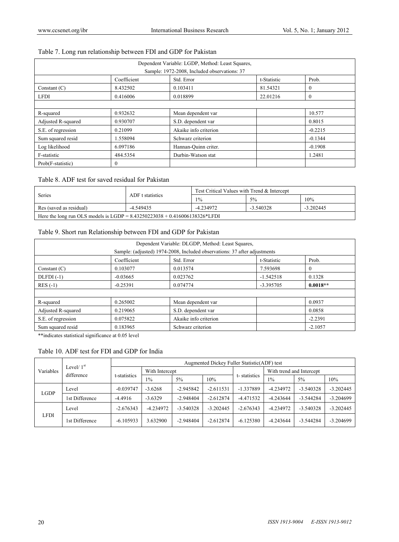## Table 7. Long run relationship between FDI and GDP for Pakistan

| Dependent Variable: LGDP, Method: Least Squares,  |          |                                              |          |              |  |  |  |
|---------------------------------------------------|----------|----------------------------------------------|----------|--------------|--|--|--|
|                                                   |          | Sample: 1972-2008, Included observations: 37 |          |              |  |  |  |
| Coefficient<br>Std. Error<br>Prob.<br>t-Statistic |          |                                              |          |              |  |  |  |
| Constant $(C)$                                    | 8.432502 | 0.103411                                     | 81.54321 | $\mathbf{0}$ |  |  |  |
| <b>LFDI</b>                                       | 0.416006 | 0.018899                                     | 22.01216 | $\mathbf{0}$ |  |  |  |
|                                                   |          |                                              |          |              |  |  |  |
| R-squared                                         | 0.932632 | Mean dependent var                           |          | 10.577       |  |  |  |
| Adjusted R-squared                                | 0.930707 | S.D. dependent var                           |          | 0.8015       |  |  |  |
| S.E. of regression                                | 0.21099  | Akaike info criterion                        |          | $-0.2215$    |  |  |  |
| Sum squared resid                                 | 1.558094 | Schwarz criterion                            |          | $-0.1344$    |  |  |  |
| Log likelihood                                    | 6.097186 | Hannan-Quinn criter.                         |          | $-0.1908$    |  |  |  |
| F-statistic                                       | 484.5354 | Durbin-Watson stat                           |          | 1.2481       |  |  |  |
| Prob(F-statistic)                                 | $\theta$ |                                              |          |              |  |  |  |

## Table 8. ADF test for saved residual for Pakistan

| Series                                                                       |                  | Test Critical Values with Trend & Intercept |             |             |  |
|------------------------------------------------------------------------------|------------------|---------------------------------------------|-------------|-------------|--|
|                                                                              | ADF t statistics | $1\%$                                       | 5%          | 10%         |  |
| Res (saved as residual)                                                      | -4.549435        | -4.234972                                   | $-3.540328$ | $-3.202445$ |  |
| Here the long run OLS models is LGDP = $8.43250223038 + 0.416006138326*LEDI$ |                  |                                             |             |             |  |

# Table 9. Short run Relationship between FDI and GDP for Pakistan

| Dependent Variable: DLGDP, Method: Least Squares,                    |                                                   |                                                                           |             |                  |  |  |  |  |
|----------------------------------------------------------------------|---------------------------------------------------|---------------------------------------------------------------------------|-------------|------------------|--|--|--|--|
|                                                                      |                                                   | Sample: (adjusted) 1974-2008, Included observations: 37 after adjustments |             |                  |  |  |  |  |
|                                                                      | Coefficient<br>Std. Error<br>Prob.<br>t-Statistic |                                                                           |             |                  |  |  |  |  |
| Constant $(C)$                                                       | 0.103077                                          | 0.013574                                                                  | 7.593698    | $\boldsymbol{0}$ |  |  |  |  |
| $DLFDI(-1)$                                                          | $-0.03665$                                        | 0.023762                                                                  | $-1.542518$ | 0.1328           |  |  |  |  |
| $RES(-1)$                                                            | $-0.25391$                                        | 0.074774                                                                  | $-3.395705$ | $0.0018**$       |  |  |  |  |
|                                                                      |                                                   |                                                                           |             |                  |  |  |  |  |
| R-squared                                                            | 0.265002                                          | Mean dependent var                                                        |             | 0.0937           |  |  |  |  |
| Adjusted R-squared                                                   | 0.219065                                          | S.D. dependent var                                                        |             | 0.0858           |  |  |  |  |
| Akaike info criterion<br>S.E. of regression<br>0.075822<br>$-2.2391$ |                                                   |                                                                           |             |                  |  |  |  |  |
| Sum squared resid                                                    | 0.183965                                          | Schwarz criterion                                                         |             | $-2.1057$        |  |  |  |  |

\*\*indicates statistical significance at 0.05 level

# Table 10. ADF test for FDI and GDP for India

| Level/ $1st$ |                 |              | Augmented Dickey Fuller Statistic(ADF) test |             |             |              |                          |             |             |  |  |
|--------------|-----------------|--------------|---------------------------------------------|-------------|-------------|--------------|--------------------------|-------------|-------------|--|--|
| Variables    |                 |              | With Intercept                              |             |             |              | With trend and Intercept |             |             |  |  |
|              | difference      | t-statistics | $1\%$                                       | $5\%$       | 10%         | t-statistics | $1\%$                    | 5%          | 10%         |  |  |
| <b>LGDP</b>  | Level           | $-0.039747$  | $-3.6268$                                   | $-2.945842$ | $-2.611531$ | $-1.337889$  | $-4.234972$              | $-3.540328$ | $-3.202445$ |  |  |
|              | 1st Difference  | $-4.4916$    | $-3.6329$                                   | $-2.948404$ | $-2.612874$ | $-4.471532$  | $-4.243644$              | $-3.544284$ | $-3.204699$ |  |  |
|              | Level           | $-2.676343$  | $-4.234972$                                 | $-3.540328$ | $-3.202445$ | $-2.676343$  | $-4.234972$              | $-3.540328$ | $-3.202445$ |  |  |
| <b>LFDI</b>  | l st Difference | $-6.105933$  | 3.632900                                    | $-2.948404$ | $-2.612874$ | $-6.125380$  | $-4.243644$              | $-3.544284$ | $-3.204699$ |  |  |